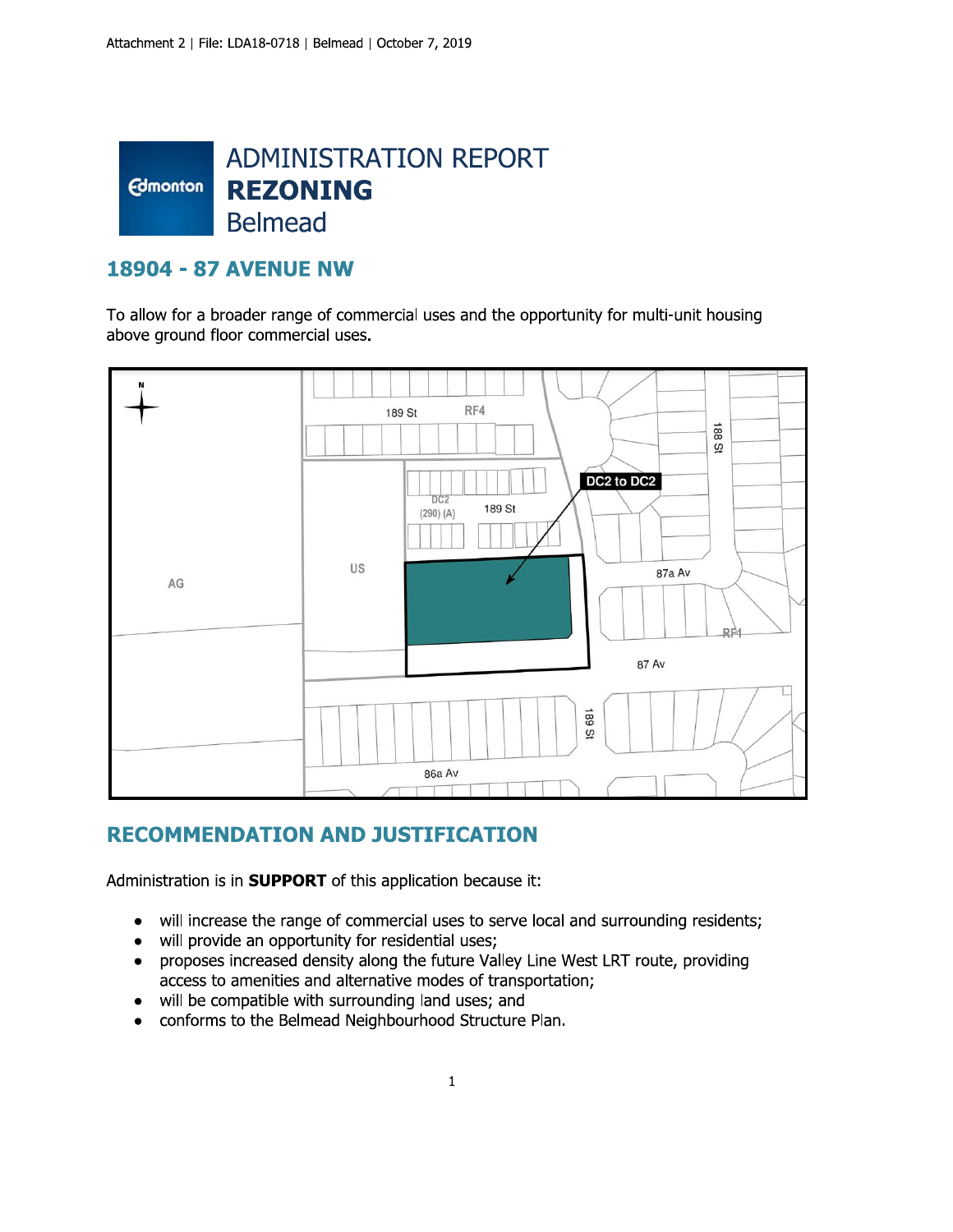

## **18904 - 87 AVENUE NW**

To allow for a broader range of commercial uses and the opportunity for multi-unit housing above ground floor commercial uses.



## **RECOMMENDATION AND JUSTIFICATION**

Administration is in SUPPORT of this application because it:

- will increase the range of commercial uses to serve local and surrounding residents;  $\bullet$
- will provide an opportunity for residential uses;  $\bullet$
- proposes increased density along the future Valley Line West LRT route, providing access to amenities and alternative modes of transportation;
- will be compatible with surrounding land uses; and  $\bullet$
- conforms to the Belmead Neighbourhood Structure Plan.  $\bullet$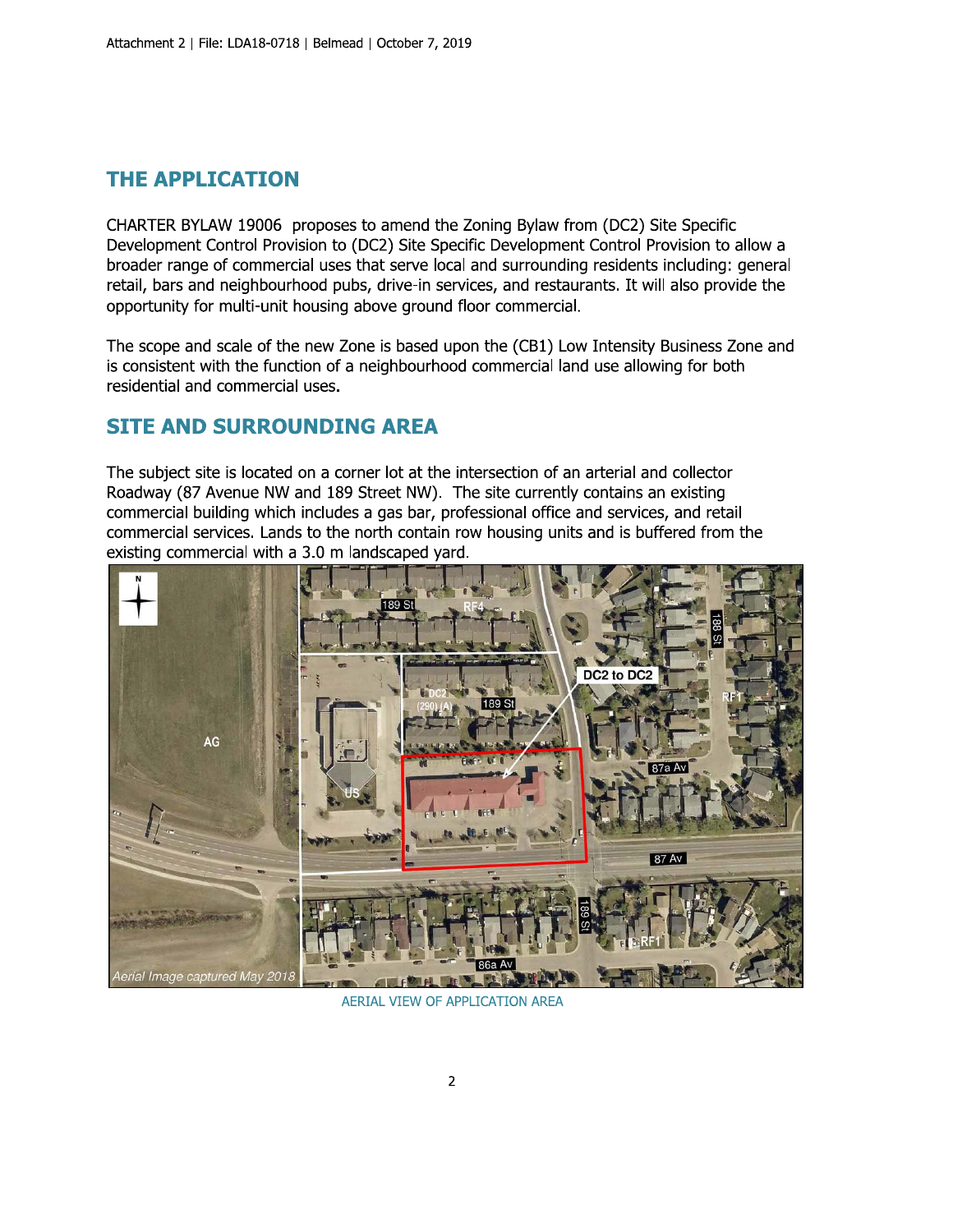## **THE APPLICATION**

CHARTER BYLAW 19006 proposes to amend the Zoning Bylaw from (DC2) Site Specific Development Control Provision to (DC2) Site Specific Development Control Provision to allow a broader range of commercial uses that serve local and surrounding residents including: general retail, bars and neighbourhood pubs, drive-in services, and restaurants. It will also provide the opportunity for multi-unit housing above ground floor commercial.

The scope and scale of the new Zone is based upon the (CB1) Low Intensity Business Zone and is consistent with the function of a neighbourhood commercial land use allowing for both residential and commercial uses.

## **SITE AND SURROUNDING AREA**

The subject site is located on a corner lot at the intersection of an arterial and collector Roadway (87 Avenue NW and 189 Street NW). The site currently contains an existing commercial building which includes a gas bar, professional office and services, and retail commercial services. Lands to the north contain row housing units and is buffered from the existing commercial with a 3.0 m landscaped yard.



**AERIAL VIEW OF APPLICATION AREA**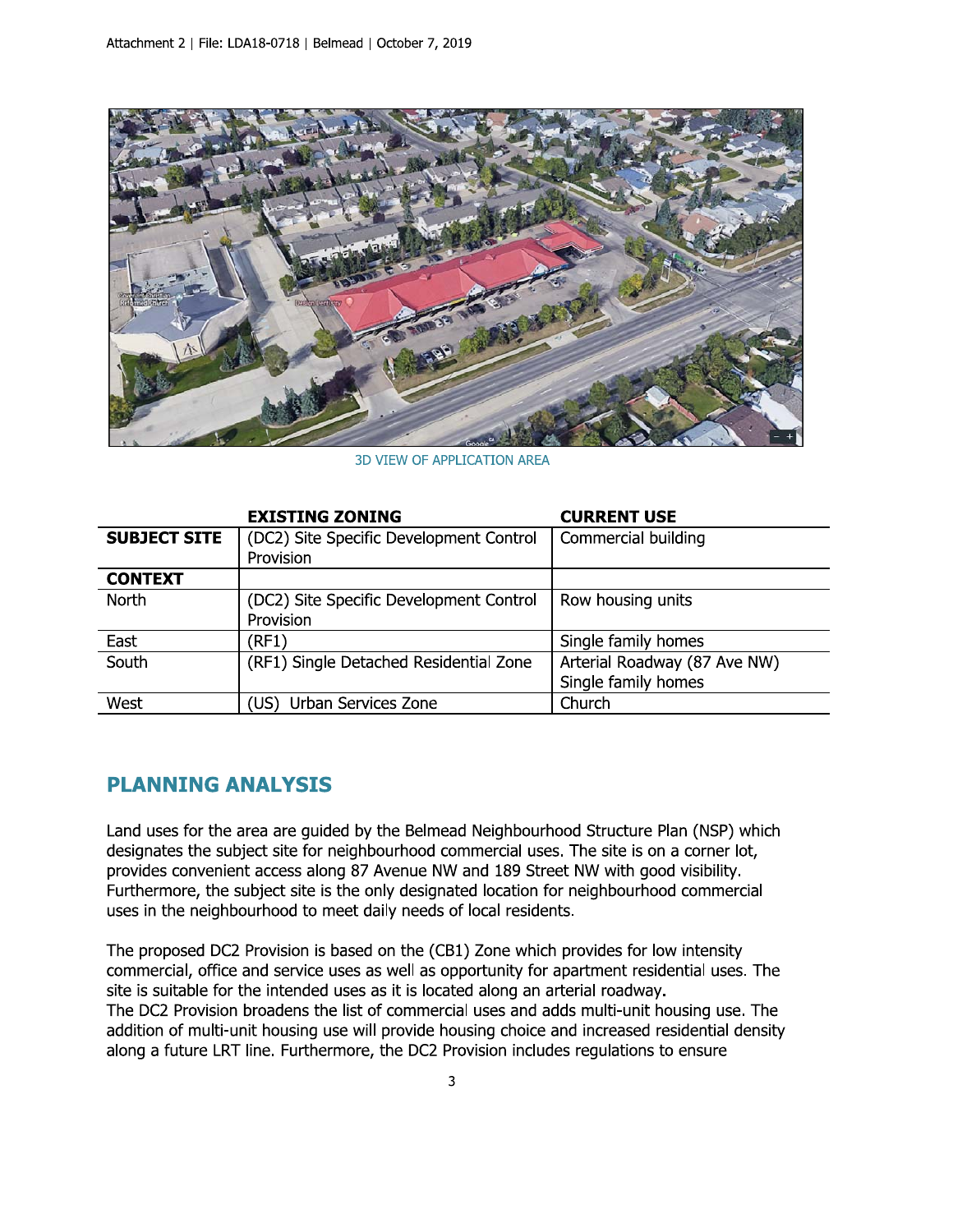

**3D VIEW OF APPLICATION AREA** 

|                     | <b>EXISTING ZONING</b>                  | <b>CURRENT USE</b>           |
|---------------------|-----------------------------------------|------------------------------|
| <b>SUBJECT SITE</b> | (DC2) Site Specific Development Control | Commercial building          |
|                     | Provision                               |                              |
| <b>CONTEXT</b>      |                                         |                              |
| North               | (DC2) Site Specific Development Control | Row housing units            |
|                     | Provision                               |                              |
| East                | (RF1)                                   | Single family homes          |
| South               | (RF1) Single Detached Residential Zone  | Arterial Roadway (87 Ave NW) |
|                     |                                         | Single family homes          |
| West                | Urban Services Zone<br>(US) l           | Church                       |

## **PLANNING ANALYSIS**

Land uses for the area are guided by the Belmead Neighbourhood Structure Plan (NSP) which designates the subject site for neighbourhood commercial uses. The site is on a corner lot, provides convenient access along 87 Avenue NW and 189 Street NW with good visibility. Furthermore, the subject site is the only designated location for neighbourhood commercial uses in the neighbourhood to meet daily needs of local residents.

The proposed DC2 Provision is based on the (CB1) Zone which provides for low intensity commercial, office and service uses as well as opportunity for apartment residential uses. The site is suitable for the intended uses as it is located along an arterial roadway. The DC2 Provision broadens the list of commercial uses and adds multi-unit housing use. The addition of multi-unit housing use will provide housing choice and increased residential density along a future LRT line. Furthermore, the DC2 Provision includes regulations to ensure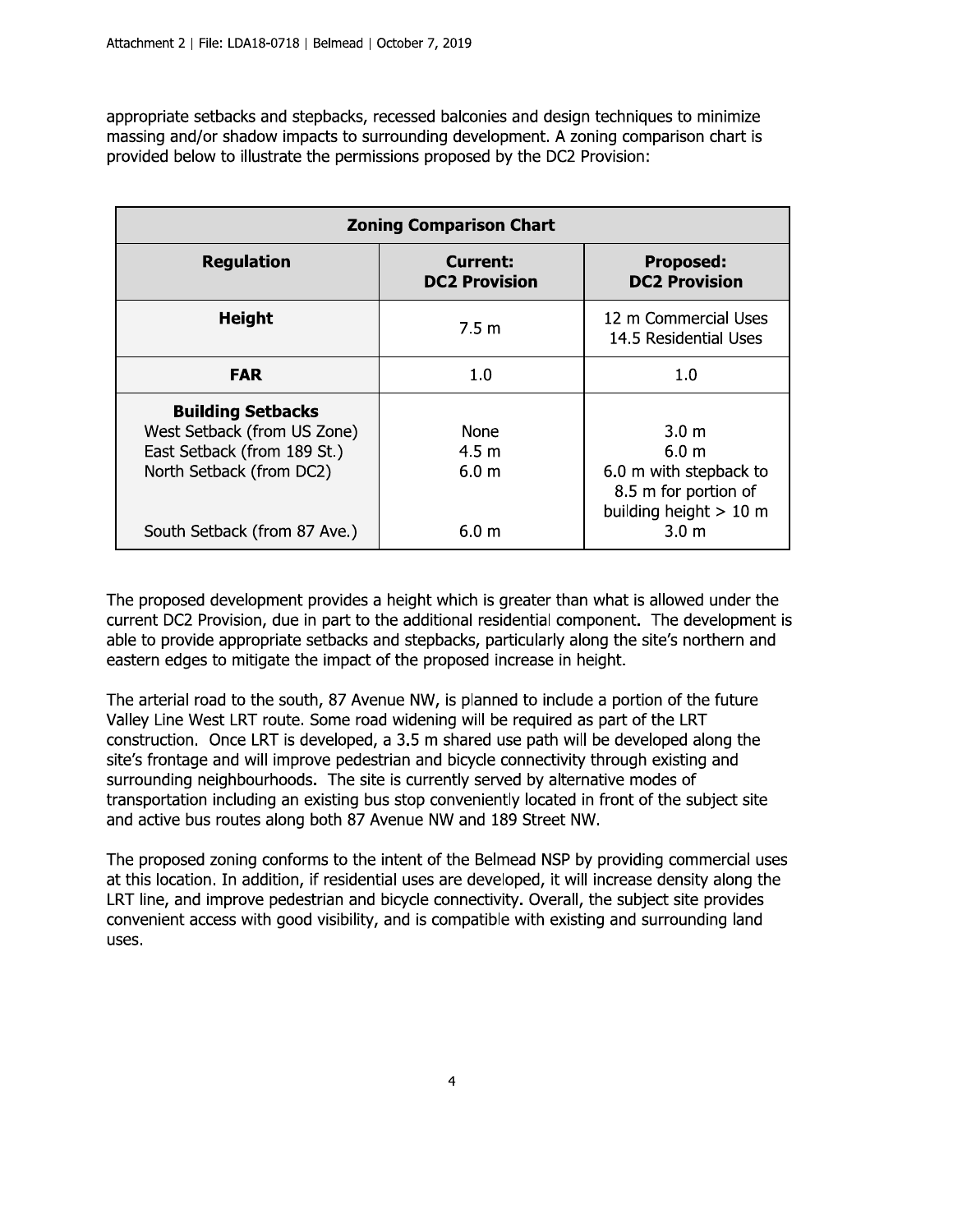appropriate setbacks and stepbacks, recessed balconies and design techniques to minimize massing and/or shadow impacts to surrounding development. A zoning comparison chart is provided below to illustrate the permissions proposed by the DC2 Provision:

| <b>Zoning Comparison Chart</b>                                                                                                                     |                                                             |                                                                                                                                        |  |
|----------------------------------------------------------------------------------------------------------------------------------------------------|-------------------------------------------------------------|----------------------------------------------------------------------------------------------------------------------------------------|--|
| <b>Regulation</b>                                                                                                                                  | <b>Current:</b><br><b>DC2 Provision</b>                     | <b>Proposed:</b><br><b>DC2 Provision</b>                                                                                               |  |
| Height                                                                                                                                             | 7.5 m                                                       | 12 m Commercial Uses<br>14.5 Residential Uses                                                                                          |  |
| <b>FAR</b>                                                                                                                                         | 1.0                                                         | 1.0                                                                                                                                    |  |
| <b>Building Setbacks</b><br>West Setback (from US Zone)<br>East Setback (from 189 St.)<br>North Setback (from DC2)<br>South Setback (from 87 Ave.) | <b>None</b><br>$4.5 \text{ m}$<br>6.0 <sub>m</sub><br>6.0 m | 3.0 <sub>m</sub><br>6.0 <sub>m</sub><br>6.0 m with stepback to<br>8.5 m for portion of<br>building height $> 10$ m<br>3.0 <sub>m</sub> |  |

The proposed development provides a height which is greater than what is allowed under the current DC2 Provision, due in part to the additional residential component. The development is able to provide appropriate setbacks and stepbacks, particularly along the site's northern and eastern edges to mitigate the impact of the proposed increase in height.

The arterial road to the south, 87 Avenue NW, is planned to include a portion of the future Valley Line West LRT route. Some road widening will be required as part of the LRT construction. Once LRT is developed, a 3.5 m shared use path will be developed along the site's frontage and will improve pedestrian and bicycle connectivity through existing and surrounding neighbourhoods. The site is currently served by alternative modes of transportation including an existing bus stop conveniently located in front of the subject site and active bus routes along both 87 Avenue NW and 189 Street NW.

The proposed zoning conforms to the intent of the Belmead NSP by providing commercial uses at this location. In addition, if residential uses are developed, it will increase density along the LRT line, and improve pedestrian and bicycle connectivity. Overall, the subject site provides convenient access with good visibility, and is compatible with existing and surrounding land uses.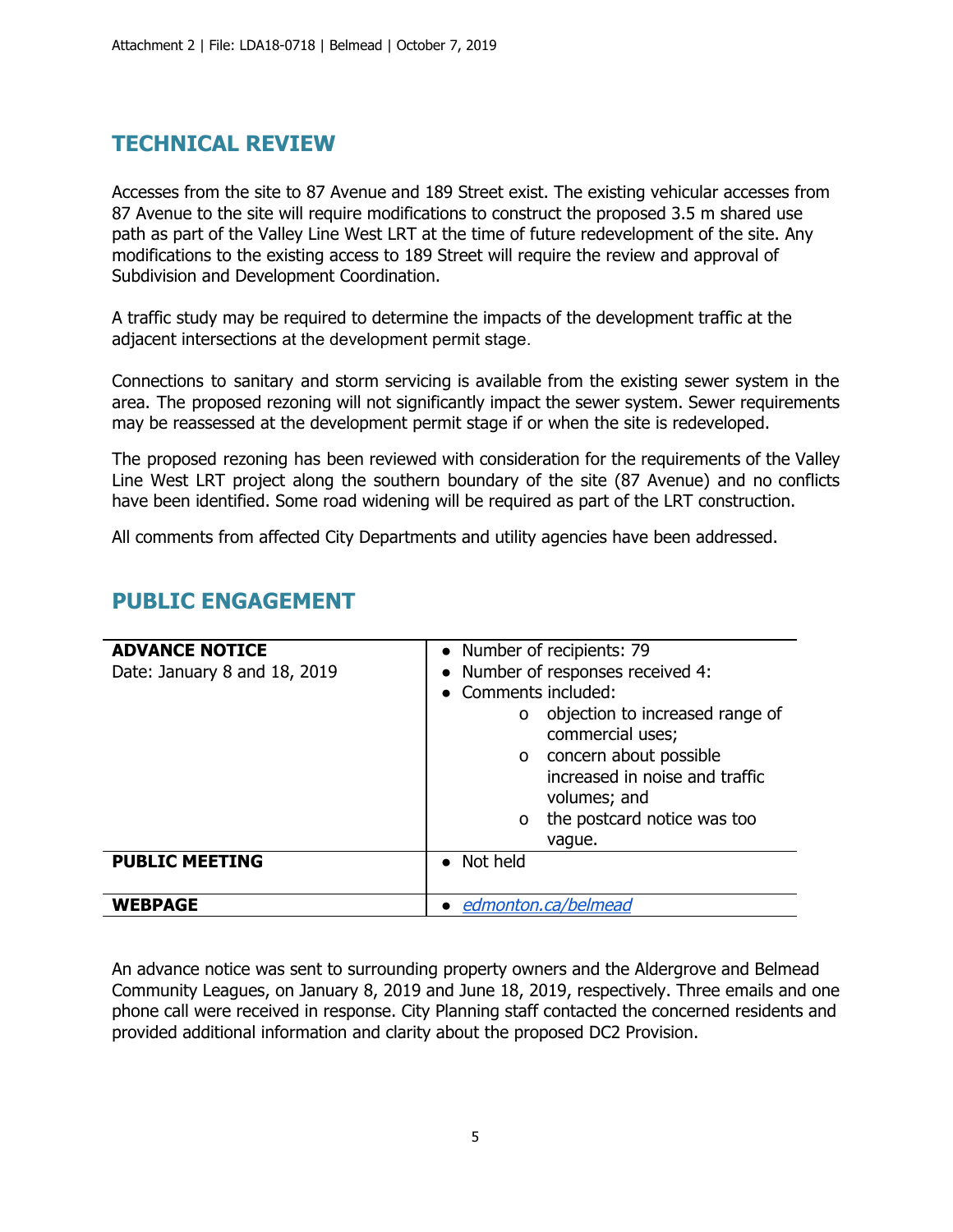# **TECHNICAL REVIEW**

Accesses from the site to 87 Avenue and 189 Street exist. The existing vehicular accesses from 87 Avenue to the site will require modifications to construct the proposed 3.5 m shared use path as part of the Valley Line West LRT at the time of future redevelopment of the site. Any modifications to the existing access to 189 Street will require the review and approval of Subdivision and Development Coordination.

A traffic study may be required to determine the impacts of the development traffic at the adjacent intersections at the development permit stage.

Connections to sanitary and storm servicing is available from the existing sewer system in the area. The proposed rezoning will not significantly impact the sewer system. Sewer requirements may be reassessed at the development permit stage if or when the site is redeveloped.

The proposed rezoning has been reviewed with consideration for the requirements of the Valley Line West LRT project along the southern boundary of the site (87 Avenue) and no conflicts have been identified. Some road widening will be required as part of the LRT construction.

All comments from affected City Departments and utility agencies have been addressed.

| <b>ADVANCE NOTICE</b><br>Date: January 8 and 18, 2019 | • Number of recipients: 79<br>• Number of responses received 4:<br>• Comments included:<br>objection to increased range of<br>O                               |
|-------------------------------------------------------|---------------------------------------------------------------------------------------------------------------------------------------------------------------|
|                                                       | commercial uses;<br>concern about possible<br>$\Omega$<br>increased in noise and traffic<br>volumes; and<br>the postcard notice was too<br>$\Omega$<br>vaque. |
| <b>PUBLIC MEETING</b>                                 | Not held                                                                                                                                                      |
| <b>WEBPAGE</b>                                        | edmonton.ca/belmead                                                                                                                                           |

# **PUBLIC ENGAGEMENT**

An advance notice was sent to surrounding property owners and the Aldergrove and Belmead Community Leagues, on January 8, 2019 and June 18, 2019, respectively. Three emails and one phone call were received in response. City Planning staff contacted the concerned residents and provided additional information and clarity about the proposed DC2 Provision.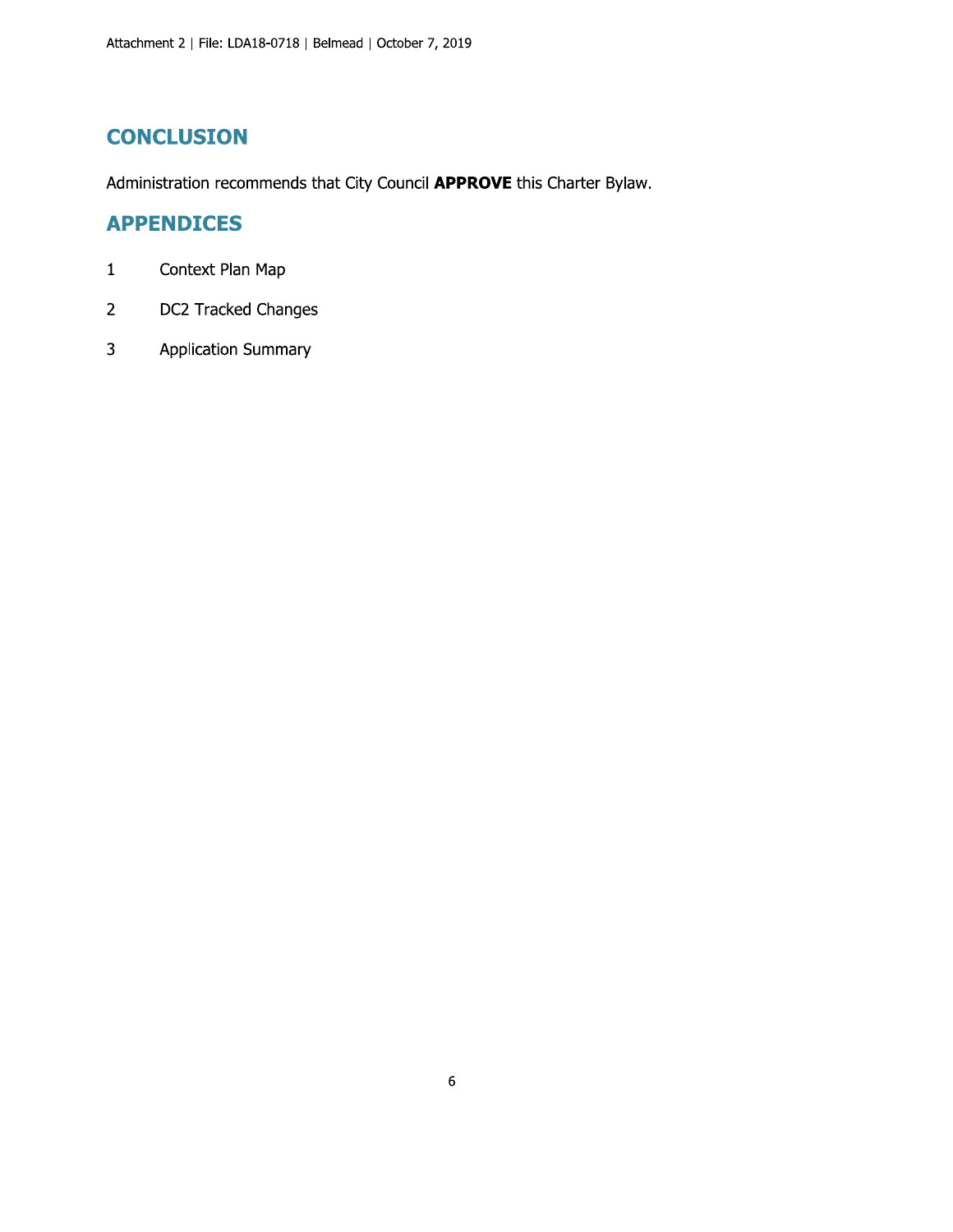# **CONCLUSION**

Administration recommends that City Council APPROVE this Charter Bylaw.

## **APPENDICES**

- Context Plan Map  $\mathbf{1}$
- $\overline{2}$ DC2 Tracked Changes
- $\overline{3}$ **Application Summary**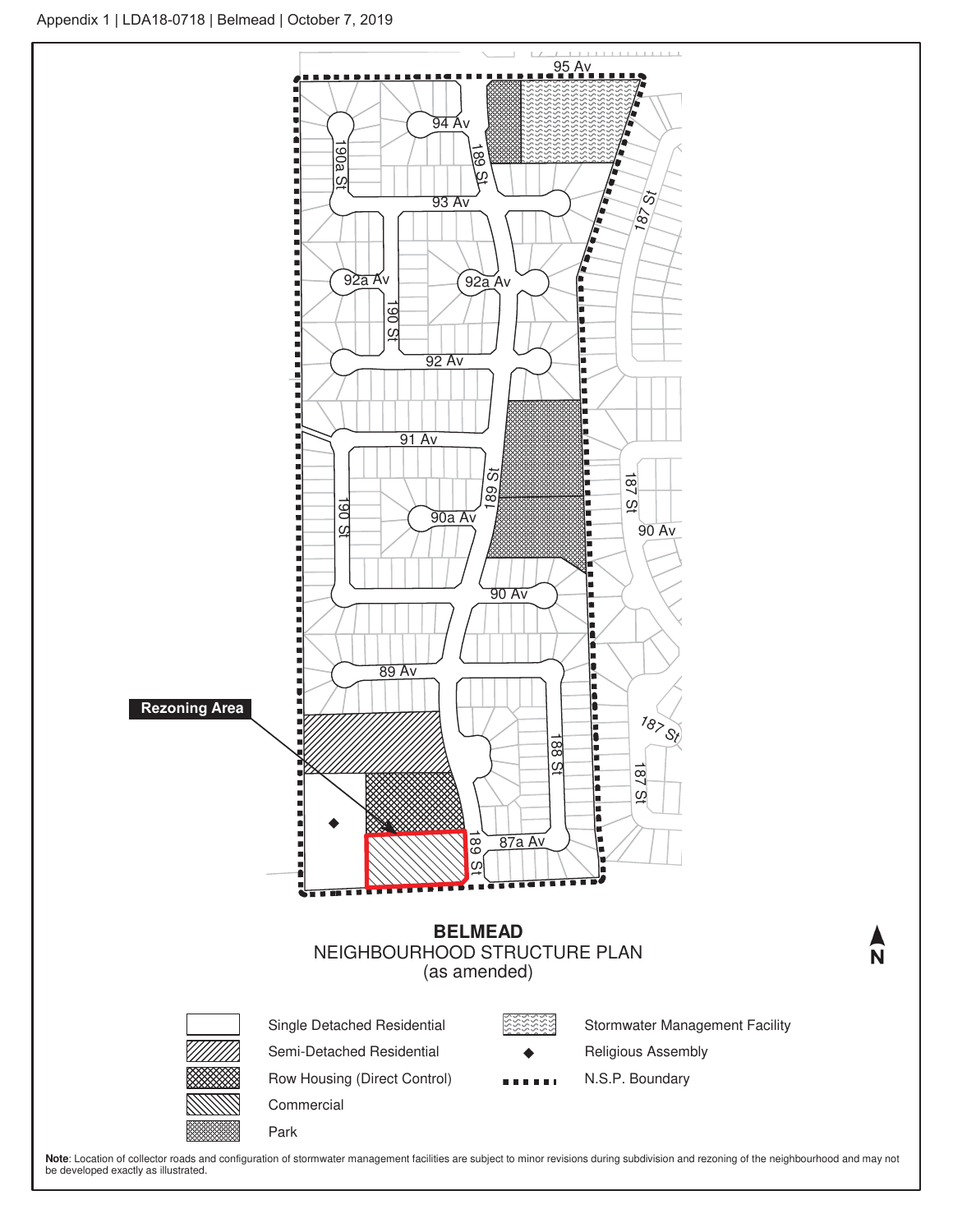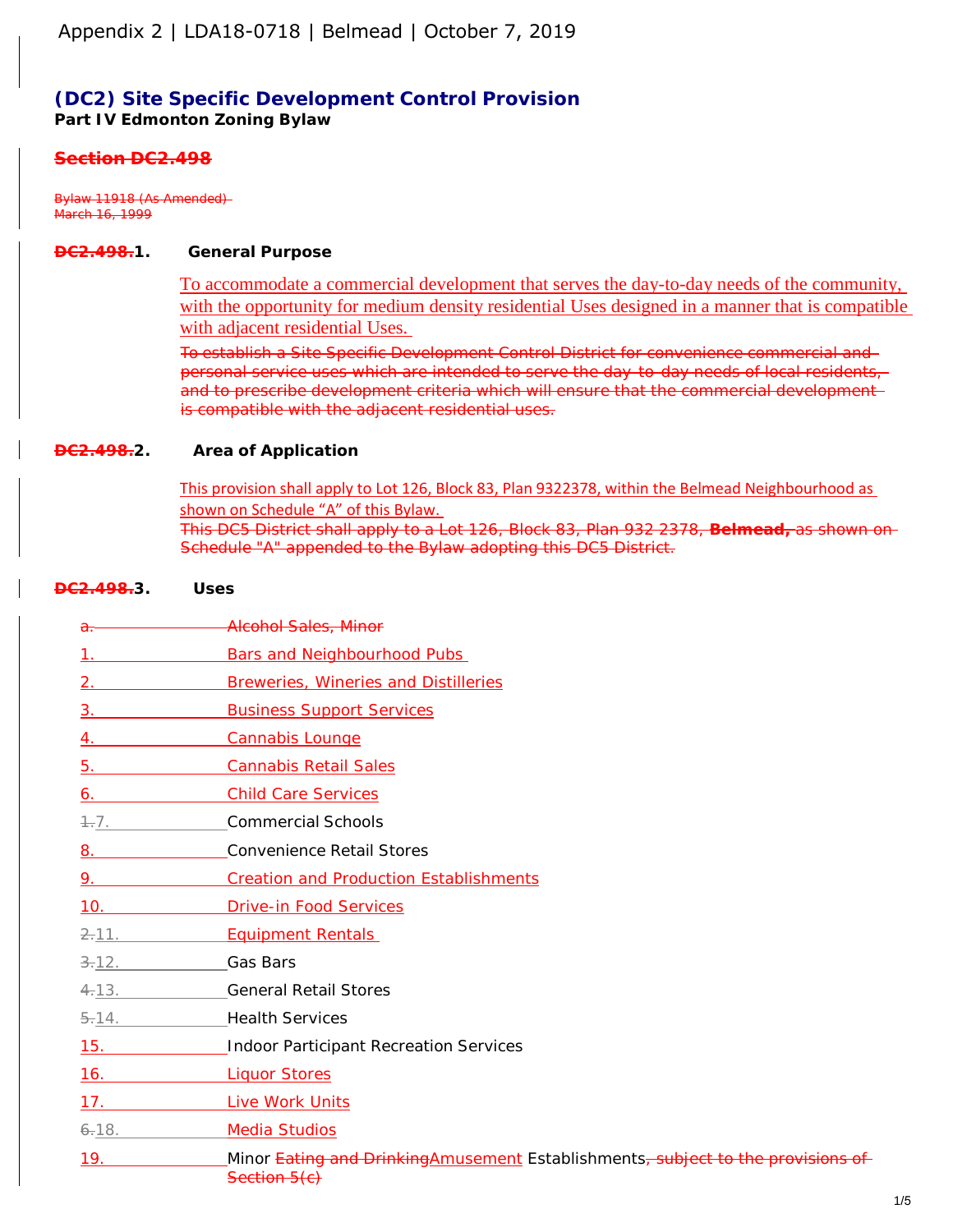## **(DC2) Site Specific Development Control Provision Part IV Edmonton Zoning Bylaw**

### *Section DC2.498*

*Bylaw 11918 (As Amended) March 16, 1999*

#### **DC2.498.1. General Purpose**

To accommodate a commercial development that serves the day-to-day needs of the community, with the opportunity for medium density residential Uses designed in a manner that is compatible with adjacent residential Uses.

To establish a Site Specific Development Control District for convenience commercial and personal service uses which are intended to serve the day-to-day needs of local residents, and to prescribe development criteria which will ensure that the commercial developmentis compatible with the adjacent residential uses.

#### **DC2.498.2. Area of Application**

This provision shall apply to Lot 126, Block 83, Plan 9322378, within the Belmead Neighbourhood as shown on Schedule "A" of this Bylaw. This DC5 District shall apply to a Lot 126, Block 83, Plan 932 2378, **Belmead,** as shown on Schedule "A" appended to the Bylaw adopting this DC5 District.

#### **DC2.498.3. Uses**

| $a -$                             | <b>Alcohol Sales, Minor</b>                                                                                 |
|-----------------------------------|-------------------------------------------------------------------------------------------------------------|
| $1_{\cdot}$                       | <b>Bars and Neighbourhood Pubs</b>                                                                          |
| 2.                                | <b>Breweries, Wineries and Distilleries</b>                                                                 |
| 3.                                | <b>Business Support Services</b>                                                                            |
| 4.                                | <b>Cannabis Lounge</b>                                                                                      |
| 5.                                | <b>Cannabis Retail Sales</b>                                                                                |
| 6.                                | <b>Child Care Services</b>                                                                                  |
| $+7.$                             | <b>Commercial Schools</b>                                                                                   |
|                                   | <b>Convenience Retail Stores</b>                                                                            |
| 9.                                | <b>Creation and Production Establishments</b>                                                               |
|                                   | 10. Drive-in Food Services                                                                                  |
| $2-11.$                           | <b>Equipment Rentals</b>                                                                                    |
| <del>3.</del> 12. <b>Gas Bars</b> |                                                                                                             |
| $4-13.$                           | <b>General Retail Stores</b>                                                                                |
| $5 - 14$ .                        | <b>Health Services</b>                                                                                      |
| 15.                               | <b>Indoor Participant Recreation Services</b>                                                               |
| 16.                               | <b>Liquor Stores</b>                                                                                        |
| 17.                               | Live Work Units                                                                                             |
| $6 - 18.$                         | <b>Media Studios</b>                                                                                        |
| 19.                               | Minor Eating and DrinkingAmusement Establishments <del>, subject to the provisions of</del><br>Section 5(c) |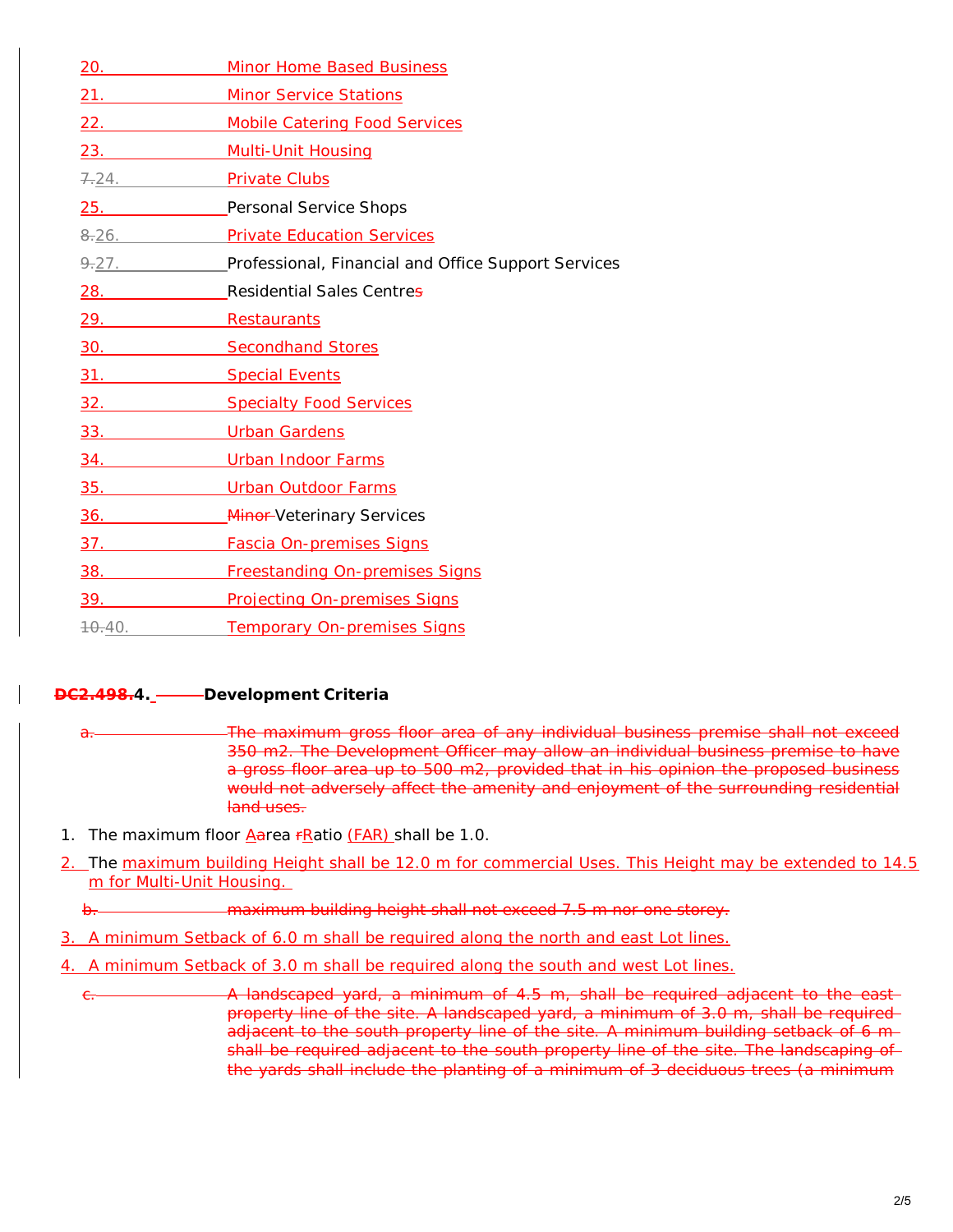| 20.                 | <b>Minor Home Based Business</b>                    |
|---------------------|-----------------------------------------------------|
| 21.                 | <b>Minor Service Stations</b>                       |
| 22.                 | <b>Mobile Catering Food Services</b>                |
| 23.                 | <b>Multi-Unit Housing</b>                           |
| 7.24.               | <b>Private Clubs</b>                                |
| 25.                 | Personal Service Shops                              |
| $\frac{0.26}{0.26}$ | <b>Private Education Services</b>                   |
| 9.27.               | Professional, Financial and Office Support Services |
| 28. 28.             | Residential Sales Centres                           |
| 29.                 | Restaurants                                         |
|                     | 30. Secondhand Stores                               |
|                     | <b>Special Events</b>                               |
| 32.                 | <b>Specialty Food Services</b>                      |
|                     | <b>Urban Gardens</b>                                |
| 34.                 | <b>Urban Indoor Farms</b>                           |
| 35.                 | <b>Urban Outdoor Farms</b>                          |
| 36.                 | <b>Minor-Veterinary Services</b>                    |
| $\overline{37}$ .   | <b>Fascia On-premises Signs</b>                     |
| 38.                 | <b>Freestanding On-premises Signs</b>               |
| 39.                 | <b>Projecting On-premises Signs</b>                 |
| 70.40.              | <b>Temporary On-premises Signs</b>                  |

## **DC2.498.4. Development Criteria**

- a. The maximum gross floor area of any individual business premise shall not exceed 350 m2. The Development Officer may allow an individual business premise to have a gross floor area up to 500 m2, provided that in his opinion the proposed business would not adversely affect the amenity and enjoyment of the surrounding residential land uses.
- 1. The maximum floor  $A$ area  $F$ Ratio  $(FAR)$  shall be 1.0.
- 2. The maximum building Height shall be 12.0 m for commercial Uses. This Height may be extended to 14.5 m for Multi-Unit Housing.
	- b. maximum building height shall not exceed 7.5 m nor one storey.
- 3. A minimum Setback of 6.0 m shall be required along the north and east Lot lines.
- 4. A minimum Setback of 3.0 m shall be required along the south and west Lot lines.
	- e. **A** landscaped yard, a minimum of 4.5 m, shall be required adjacent to the east property line of the site. A landscaped yard, a minimum of 3.0 m, shall be required adjacent to the south property line of the site. A minimum building setback of 6 m shall be required adjacent to the south property line of the site. The landscaping of the yards shall include the planting of a minimum of 3 deciduous trees (a minimum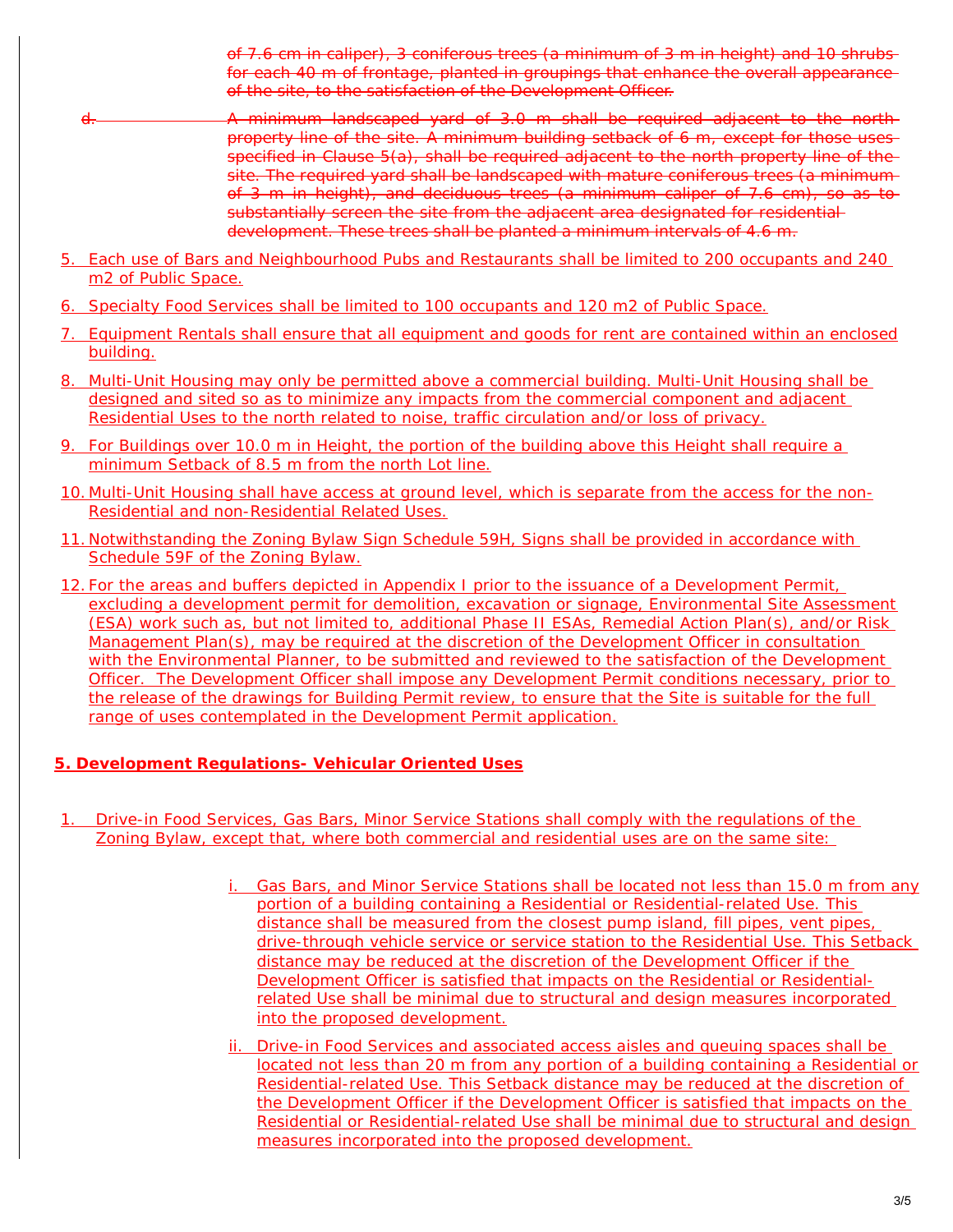of 7.6 cm in caliper), 3 coniferous trees (a minimum of 3 m in height) and 10 shrubs for each 40 m of frontage, planted in groupings that enhance the overall appearance of the site, to the satisfaction of the Development Officer.

- d. A minimum landscaped yard of 3.0 m shall be required adjacent to the north property line of the site. A minimum building setback of 6 m, except for those uses specified in Clause 5(a), shall be required adjacent to the north property line of the site. The required yard shall be landscaped with mature coniferous trees (a minimum of 3 m in height), and deciduous trees (a minimum caliper of 7.6 cm), so as to substantially screen the site from the adjacent area designated for residential development. These trees shall be planted a minimum intervals of 4.6 m.
- 5. Each use of Bars and Neighbourhood Pubs and Restaurants shall be limited to 200 occupants and 240 m2 of Public Space.
- 6. Specialty Food Services shall be limited to 100 occupants and 120 m2 of Public Space.
- 7. Equipment Rentals shall ensure that all equipment and goods for rent are contained within an enclosed building.
- 8. Multi-Unit Housing may only be permitted above a commercial building. Multi-Unit Housing shall be designed and sited so as to minimize any impacts from the commercial component and adjacent Residential Uses to the north related to noise, traffic circulation and/or loss of privacy.
- 9. For Buildings over 10.0 m in Height, the portion of the building above this Height shall require a minimum Setback of 8.5 m from the north Lot line.
- 10. Multi-Unit Housing shall have access at ground level, which is separate from the access for the non-Residential and non-Residential Related Uses.
- 11. Notwithstanding the Zoning Bylaw Sign Schedule 59H, Signs shall be provided in accordance with Schedule 59F of the Zoning Bylaw.
- 12. For the areas and buffers depicted in Appendix I prior to the issuance of a Development Permit, excluding a development permit for demolition, excavation or signage, Environmental Site Assessment (ESA) work such as, but not limited to, additional Phase II ESAs, Remedial Action Plan(s), and/or Risk Management Plan(s), may be required at the discretion of the Development Officer in consultation with the Environmental Planner, to be submitted and reviewed to the satisfaction of the Development Officer. The Development Officer shall impose any Development Permit conditions necessary, prior to the release of the drawings for Building Permit review, to ensure that the Site is suitable for the full range of uses contemplated in the Development Permit application.

## **5. Development Regulations- Vehicular Oriented Uses**

- 1. Drive-in Food Services, Gas Bars, Minor Service Stations shall comply with the regulations of the Zoning Bylaw, except that, where both commercial and residential uses are on the same site:
	- i. Gas Bars, and Minor Service Stations shall be located not less than 15.0 m from any portion of a building containing a Residential or Residential-related Use. This distance shall be measured from the closest pump island, fill pipes, vent pipes, drive-through vehicle service or service station to the Residential Use. This Setback distance may be reduced at the discretion of the Development Officer if the Development Officer is satisfied that impacts on the Residential or Residentialrelated Use shall be minimal due to structural and design measures incorporated into the proposed development.
	- ii. Drive-in Food Services and associated access aisles and queuing spaces shall be located not less than 20 m from any portion of a building containing a Residential or Residential-related Use. This Setback distance may be reduced at the discretion of the Development Officer if the Development Officer is satisfied that impacts on the Residential or Residential-related Use shall be minimal due to structural and design measures incorporated into the proposed development.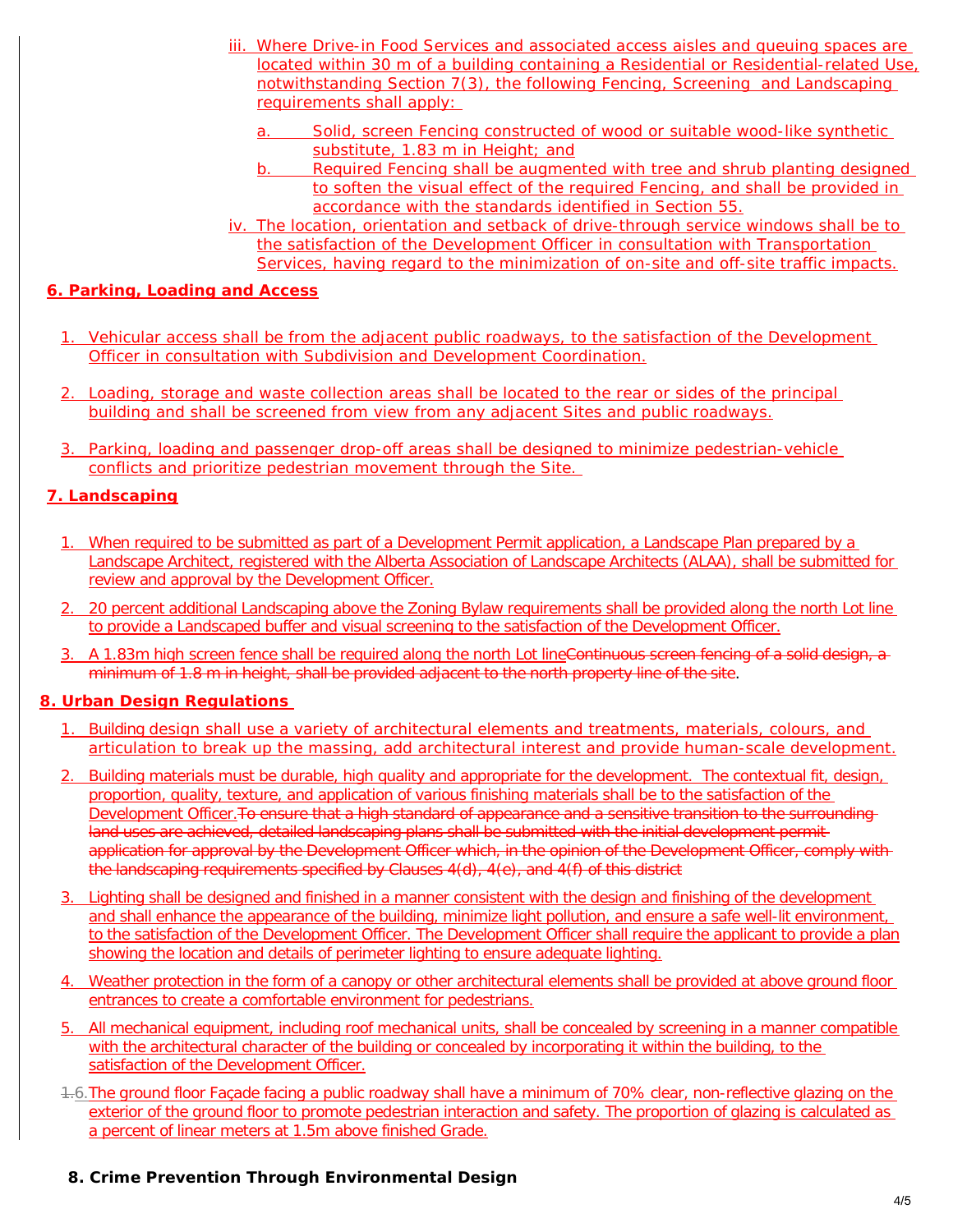- iii. Where Drive-in Food Services and associated access aisles and queuing spaces are located within 30 m of a building containing a Residential or Residential-related Use, notwithstanding Section 7(3), the following Fencing, Screening and Landscaping requirements shall apply:
	- a. Solid, screen Fencing constructed of wood or suitable wood-like synthetic substitute, 1.83 m in Height; and
	- b. Required Fencing shall be augmented with tree and shrub planting designed to soften the visual effect of the required Fencing, and shall be provided in accordance with the standards identified in Section 55.
- iv. The location, orientation and setback of drive-through service windows shall be to the satisfaction of the Development Officer in consultation with Transportation Services, having regard to the minimization of on-site and off-site traffic impacts.

### **6. Parking, Loading and Access**

- 1. Vehicular access shall be from the adjacent public roadways, to the satisfaction of the Development Officer in consultation with Subdivision and Development Coordination.
- 2. Loading, storage and waste collection areas shall be located to the rear or sides of the principal building and shall be screened from view from any adjacent Sites and public roadways.
- 3. Parking, loading and passenger drop-off areas shall be designed to minimize pedestrian-vehicle conflicts and prioritize pedestrian movement through the Site.

## **7. Landscaping**

- 1. When required to be submitted as part of a Development Permit application, a Landscape Plan prepared by a Landscape Architect, registered with the Alberta Association of Landscape Architects (ALAA), shall be submitted for review and approval by the Development Officer.
- 2. 20 percent additional Landscaping above the Zoning Bylaw requirements shall be provided along the north Lot line to provide a Landscaped buffer and visual screening to the satisfaction of the Development Officer.
- 3. A 1.83m high screen fence shall be required along the north Lot lineContinuous screen fencing of a solid design, a minimum of 1.8 m in height, shall be provided adjacent to the north property line of the site.

## **8. Urban Design Regulations**

- 1. Building design shall use a variety of architectural elements and treatments, materials, colours, and articulation to break up the massing, add architectural interest and provide human-scale development.
- 2. Building materials must be durable, high quality and appropriate for the development. The contextual fit, design, proportion, quality, texture, and application of various finishing materials shall be to the satisfaction of the Development Officer. To ensure that a high standard of appearance and a sensitive transition to the surrounding land uses are achieved, detailed landscaping plans shall be submitted with the initial development permitapplication for approval by the Development Officer which, in the opinion of the Development Officer, comply with the landscaping requirements specified by Clauses 4(d), 4(e), and 4(f) of this district
- 3. Lighting shall be designed and finished in a manner consistent with the design and finishing of the development and shall enhance the appearance of the building, minimize light pollution, and ensure a safe well-lit environment, to the satisfaction of the Development Officer. The Development Officer shall require the applicant to provide a plan showing the location and details of perimeter lighting to ensure adequate lighting.
- 4. Weather protection in the form of a canopy or other architectural elements shall be provided at above ground floor entrances to create a comfortable environment for pedestrians.
- 5. All mechanical equipment, including roof mechanical units, shall be concealed by screening in a manner compatible with the architectural character of the building or concealed by incorporating it within the building, to the satisfaction of the Development Officer.
- 1.6. The ground floor Façade facing a public roadway shall have a minimum of 70% clear, non-reflective glazing on the exterior of the ground floor to promote pedestrian interaction and safety. The proportion of glazing is calculated as a percent of linear meters at 1.5m above finished Grade.
- **8. Crime Prevention Through Environmental Design**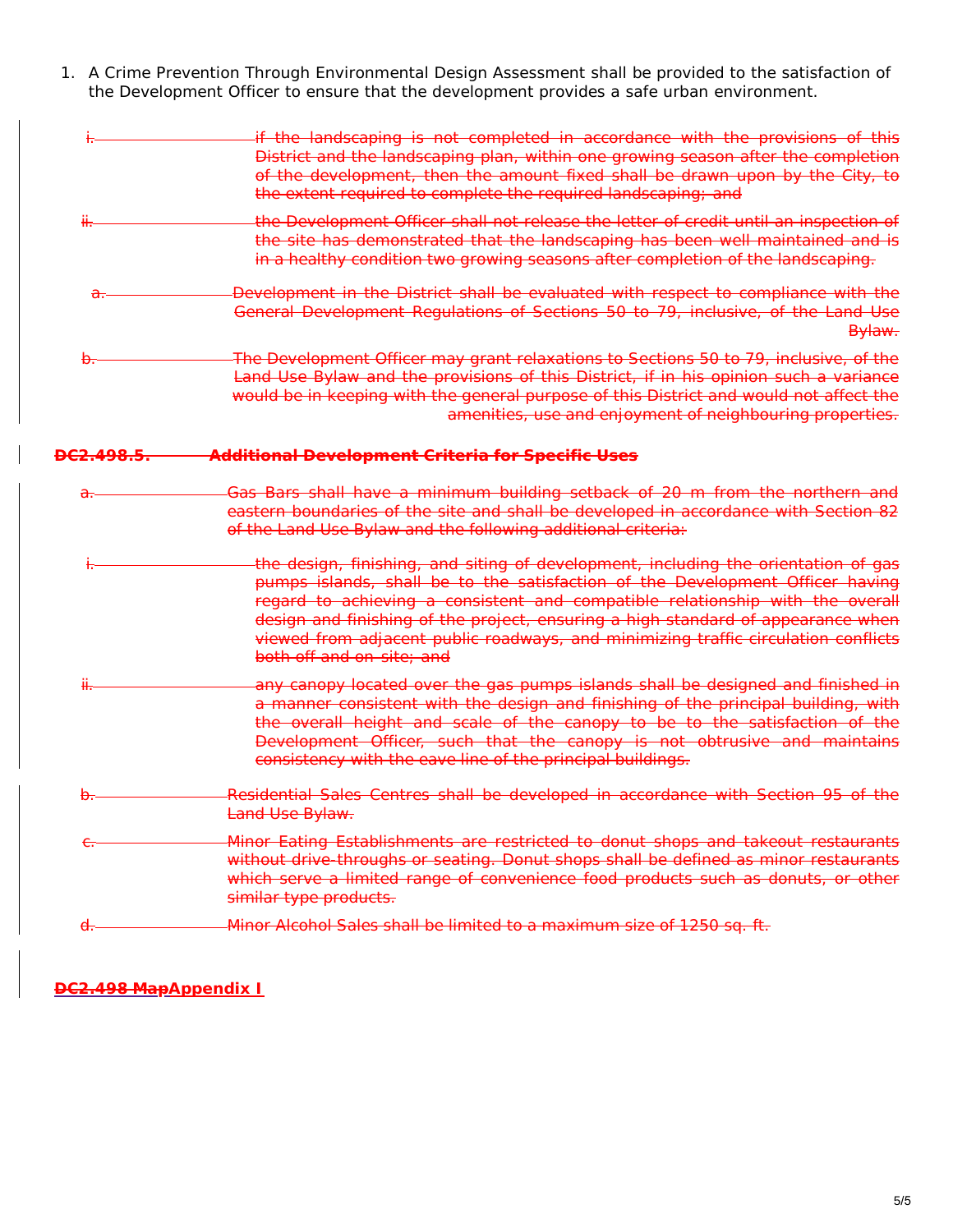1. A Crime Prevention Through Environmental Design Assessment shall be provided to the satisfaction of the Development Officer to ensure that the development provides a safe urban environment.

|                      | if the landscaping is not completed in accordance with the provisions of this                                                                                                                                                                                                                                                                                                                                                                               |
|----------------------|-------------------------------------------------------------------------------------------------------------------------------------------------------------------------------------------------------------------------------------------------------------------------------------------------------------------------------------------------------------------------------------------------------------------------------------------------------------|
|                      | District and the landscaping plan, within one growing season after the completion<br>of the development, then the amount fixed shall be drawn upon by the City, to                                                                                                                                                                                                                                                                                          |
|                      | the extent required to complete the required landscaping; and                                                                                                                                                                                                                                                                                                                                                                                               |
| Ĥ.                   | the Development Officer shall not release the letter of credit until an inspection of                                                                                                                                                                                                                                                                                                                                                                       |
|                      | the site has demonstrated that the landscaping has been well maintained and is<br>in a healthy condition two growing seasons after completion of the landscaping.                                                                                                                                                                                                                                                                                           |
| <del>ن ل</del>       | Development in the District shall be evaluated with respect to compliance with the<br>General Development Regulations of Sections 50 to 79, inclusive, of the Land Use<br>Bylaw.                                                                                                                                                                                                                                                                            |
|                      | The Development Officer may grant relaxations to Sections 50 to 79, inclusive, of the                                                                                                                                                                                                                                                                                                                                                                       |
|                      | Land Use Bylaw and the provisions of this District, if in his opinion such a variance<br>would be in keeping with the general purpose of this District and would not affect the<br>amenities, use and enjoyment of neighbouring properties.                                                                                                                                                                                                                 |
| <del>DC2.498.5</del> | <b>Additional Development Criteria for Specific Uses</b>                                                                                                                                                                                                                                                                                                                                                                                                    |
| a.                   | Gas Bars shall have a minimum building setback of 20 m from the northern and<br>eastern boundaries of the site and shall be developed in accordance with Section 82<br>of the Land Use Bylaw and the following additional criteria:                                                                                                                                                                                                                         |
|                      | the design, finishing, and siting of development, including the orientation of gas<br>pumps islands, shall be to the satisfaction of the Development Officer having<br>regard to achieving a consistent and compatible relationship with the overall<br>design and finishing of the project, ensuring a high standard of appearance when<br>viewed from adjacent public roadways, and minimizing traffic circulation conflicts<br>both off and on-site; and |
|                      | any canopy located over the gas pumps islands shall be designed and finished in<br>a manner consistent with the design and finishing of the principal building, with<br>the overall height and scale of the canopy to be to the satisfaction of the<br>Development Officer, such that the canopy is not obtrusive and maintains<br>consistency with the eave line of the principal buildings.                                                               |
|                      | Residential Sales Centres shall be developed in accordance with Section 95 of the<br>Land Use Bylaw.                                                                                                                                                                                                                                                                                                                                                        |
|                      | Minor Eating Establishments are restricted to donut shops and takeout restaurants<br>without drive-throughs or seating. Donut shops shall be defined as minor restaurants<br>which serve a limited range of convenience food products such as donuts, or other<br>similar type products.                                                                                                                                                                    |
|                      | Minor Alcohol Sales shall be limited to a maximum size of 1250 sq. ft.                                                                                                                                                                                                                                                                                                                                                                                      |
|                      |                                                                                                                                                                                                                                                                                                                                                                                                                                                             |

**DC2.498 MapAppendix I**